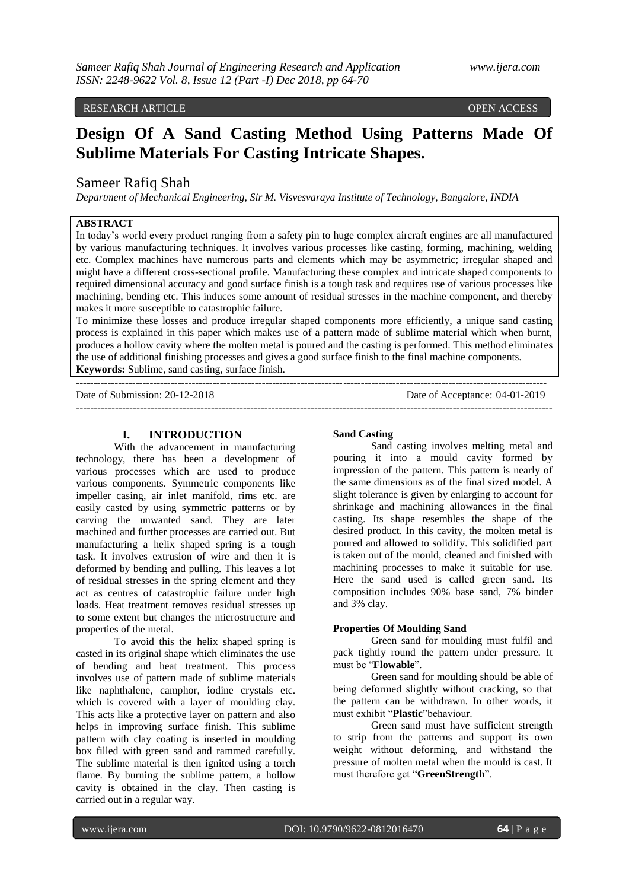# RESEARCH ARTICLE OPEN ACCESS

# **Design Of A Sand Casting Method Using Patterns Made Of Sublime Materials For Casting Intricate Shapes.**

# Sameer Rafiq Shah

*Department of Mechanical Engineering, Sir M. Visvesvaraya Institute of Technology, Bangalore, INDIA*

# **ABSTRACT**

In today's world every product ranging from a safety pin to huge complex aircraft engines are all manufactured by various manufacturing techniques. It involves various processes like casting, forming, machining, welding etc. Complex machines have numerous parts and elements which may be asymmetric; irregular shaped and might have a different cross-sectional profile. Manufacturing these complex and intricate shaped components to required dimensional accuracy and good surface finish is a tough task and requires use of various processes like machining, bending etc. This induces some amount of residual stresses in the machine component, and thereby makes it more susceptible to catastrophic failure.

To minimize these losses and produce irregular shaped components more efficiently, a unique sand casting process is explained in this paper which makes use of a pattern made of sublime material which when burnt, produces a hollow cavity where the molten metal is poured and the casting is performed. This method eliminates the use of additional finishing processes and gives a good surface finish to the final machine components. **Keywords:** Sublime, sand casting, surface finish.

--------------------------------------------------------------------------------------------------------------------------------------

--------------------------------------------------------------------------------------------------------------------------------------

Date of Submission: 20-12-2018 Date of Acceptance: 04-01-2019

# **I. INTRODUCTION**

With the advancement in manufacturing technology, there has been a development of various processes which are used to produce various components. Symmetric components like impeller casing, air inlet manifold, rims etc. are easily casted by using symmetric patterns or by carving the unwanted sand. They are later machined and further processes are carried out. But manufacturing a helix shaped spring is a tough task. It involves extrusion of wire and then it is deformed by bending and pulling. This leaves a lot of residual stresses in the spring element and they act as centres of catastrophic failure under high loads. Heat treatment removes residual stresses up to some extent but changes the microstructure and properties of the metal.

To avoid this the helix shaped spring is casted in its original shape which eliminates the use of bending and heat treatment. This process involves use of pattern made of sublime materials like naphthalene, camphor, iodine crystals etc. which is covered with a layer of moulding clay. This acts like a protective layer on pattern and also helps in improving surface finish. This sublime pattern with clay coating is inserted in moulding box filled with green sand and rammed carefully. The sublime material is then ignited using a torch flame. By burning the sublime pattern, a hollow cavity is obtained in the clay. Then casting is carried out in a regular way.

## **Sand Casting**

Sand casting involves melting metal and pouring it into a mould cavity formed by impression of the pattern. This pattern is nearly of the same dimensions as of the final sized model. A slight tolerance is given by enlarging to account for shrinkage and machining allowances in the final casting. Its shape resembles the shape of the desired product. In this cavity, the molten metal is poured and allowed to solidify. This solidified part is taken out of the mould, cleaned and finished with machining processes to make it suitable for use. Here the sand used is called green sand. Its composition includes 90% base sand, 7% binder and 3% clay.

#### **Properties Of Moulding Sand**

Green sand for moulding must fulfil and pack tightly round the pattern under pressure. It must be "**Flowable**".

Green sand for moulding should be able of being deformed slightly without cracking, so that the pattern can be withdrawn. In other words, it must exhibit "**Plastic**"behaviour.

Green sand must have sufficient strength to strip from the patterns and support its own weight without deforming, and withstand the pressure of molten metal when the mould is cast. It must therefore get "**GreenStrength**".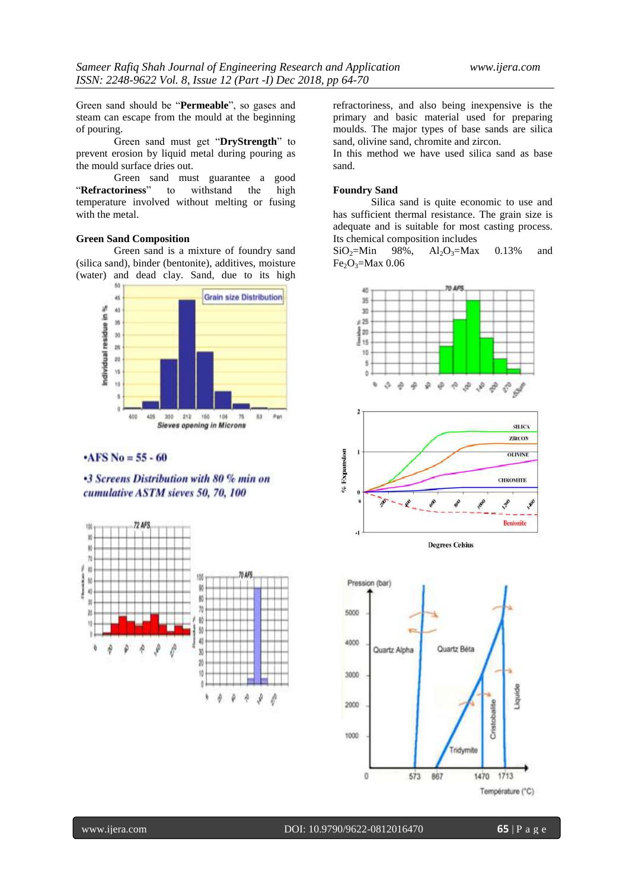Green sand should be "**Permeable**", so gases and steam can escape from the mould at the beginning of pouring.

Green sand must get "**DryStrength**" to prevent erosion by liquid metal during pouring as the mould surface dries out.

Green sand must guarantee a good "**Refractoriness**" to withstand the high temperature involved without melting or fusing with the metal.

#### **Green Sand Composition**

Green sand is a mixture of foundry sand (silica sand), binder (bentonite), additives, moisture (water) and dead clay. Sand, due to its high



# $-AFS$  No = 55 - 60

**•3 Screens Distribution with 80 % min on** cumulative ASTM sieves 50, 70, 100



refractoriness, and also being inexpensive is the primary and basic material used for preparing moulds. The major types of base sands are silica sand, olivine sand, chromite and zircon.

In this method we have used silica sand as base sand.

#### **Foundry Sand**

Silica sand is quite economic to use and has sufficient thermal resistance. The grain size is adequate and is suitable for most casting process. Its chemical composition includes

 $SiO<sub>2</sub>=Min$  98%,  $Al_2O_3=Max$  0.13% and  $Fe_2O_3 = Max\ 0.06$ 

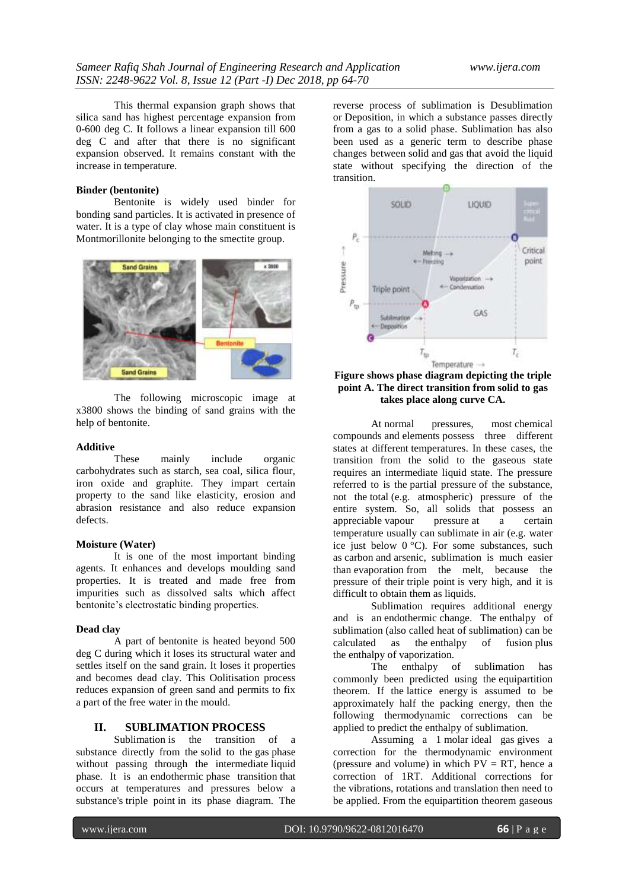This thermal expansion graph shows that silica sand has highest percentage expansion from 0-600 deg C. It follows a linear expansion till 600 deg C and after that there is no significant expansion observed. It remains constant with the increase in temperature.

### **Binder (bentonite)**

Bentonite is widely used binder for bonding sand particles. It is activated in presence of water. It is a type of clay whose main constituent is Montmorillonite belonging to the smectite group.



The following microscopic image at x3800 shows the binding of sand grains with the help of bentonite.

#### **Additive**

These mainly include organic carbohydrates such as starch, sea coal, silica flour, iron oxide and graphite. They impart certain property to the sand like elasticity, erosion and abrasion resistance and also reduce expansion defects.

#### **Moisture (Water)**

It is one of the most important binding agents. It enhances and develops moulding sand properties. It is treated and made free from impurities such as dissolved salts which affect bentonite's electrostatic binding properties.

#### **Dead clay**

A part of bentonite is heated beyond 500 deg C during which it loses its structural water and settles itself on the sand grain. It loses it properties and becomes dead clay. This Oolitisation process reduces expansion of green sand and permits to fix a part of the free water in the mould.

# **II. SUBLIMATION PROCESS**

Sublimation is the transition of a substance directly from the solid to the gas phase without passing through the intermediate liquid phase. It is an endothermic phase transition that occurs at temperatures and pressures below a substance's triple point in its phase diagram. The

reverse process of sublimation is Desublimation or Deposition, in which a substance passes directly from a gas to a solid phase. Sublimation has also been used as a generic term to describe phase changes between solid and gas that avoid the liquid state without specifying the direction of the transition.



## **Figure shows phase diagram depicting the triple point A. The direct transition from solid to gas takes place along curve CA.**

At normal pressures, most chemical compounds and elements possess three different states at different temperatures. In these cases, the transition from the solid to the gaseous state requires an intermediate liquid state. The pressure referred to is the partial pressure of the substance, not the total (e.g. atmospheric) pressure of the entire system. So, all solids that possess an appreciable vapour pressure at a certain temperature usually can sublimate in air (e.g. water ice just below 0 °C). For some substances, such as carbon and arsenic, sublimation is much easier than evaporation from the melt, because the pressure of their triple point is very high, and it is difficult to obtain them as liquids.

Sublimation requires additional energy and is an endothermic change. The enthalpy of sublimation (also called heat of sublimation) can be calculated as the enthalpy of fusion plus the enthalpy of vaporization.

The enthalpy of sublimation has commonly been predicted using the equipartition theorem. If the lattice energy is assumed to be approximately half the packing energy, then the following thermodynamic corrections can be applied to predict the enthalpy of sublimation.

Assuming a 1 molar ideal gas gives a correction for the thermodynamic environment (pressure and volume) in which  $PV = RT$ , hence a correction of 1RT. Additional corrections for the vibrations, rotations and translation then need to be applied. From the equipartition theorem gaseous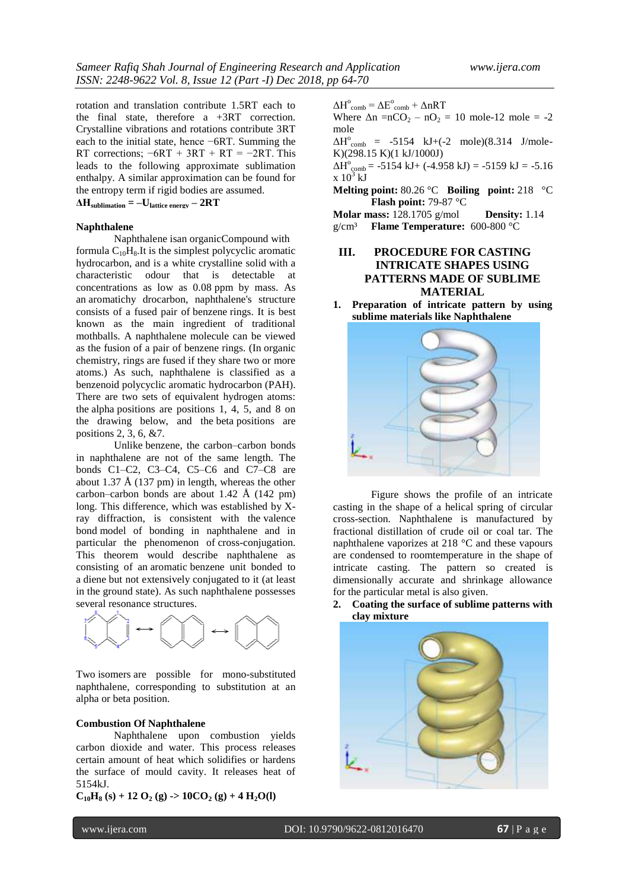rotation and translation contribute 1.5RT each to the final state, therefore a +3RT correction. Crystalline vibrations and rotations contribute 3RT each to the initial state, hence −6RT. Summing the RT corrections;  $-6RT + 3RT + RT = -2RT$ . This leads to the following approximate sublimation enthalpy. A similar approximation can be found for the entropy term if rigid bodies are assumed.

 $\Delta H_{\text{sublimation}} = -U_{\text{lattice energy}} - 2RT$ 

## **Naphthalene**

Naphthalene isan organicCompound with formula  $C_{10}H_8$ . It is the simplest polycyclic aromatic hydrocarbon, and is a white crystalline solid with a characteristic odour that is detectable at concentrations as low as 0.08 ppm by mass. As an aromatichy drocarbon, naphthalene's structure consists of a fused pair of benzene rings. It is best known as the main ingredient of traditional mothballs. A naphthalene molecule can be viewed as the fusion of a pair of benzene rings. (In organic chemistry, rings are fused if they share two or more atoms.) As such, naphthalene is classified as a benzenoid polycyclic aromatic hydrocarbon (PAH). There are two sets of equivalent hydrogen atoms: the alpha positions are positions 1, 4, 5, and 8 on the drawing below, and the beta positions are positions 2, 3, 6, &7.

Unlike benzene, the carbon–carbon bonds in naphthalene are not of the same length. The bonds C1–C2, C3–C4, C5–C6 and C7–C8 are about 1.37 Å (137 pm) in length, whereas the other carbon–carbon bonds are about 1.42 Å (142 pm) long. This difference, which was established by Xray diffraction, is consistent with the valence bond model of bonding in naphthalene and in particular the phenomenon of cross-conjugation. This theorem would describe naphthalene as consisting of an aromatic benzene unit bonded to a diene but not extensively conjugated to it (at least in the ground state). As such naphthalene possesses several resonance structures.



Two isomers are possible for mono-substituted naphthalene, corresponding to substitution at an alpha or beta position.

#### **Combustion Of Naphthalene**

Naphthalene upon combustion yields carbon dioxide and water. This process releases certain amount of heat which solidifies or hardens the surface of mould cavity. It releases heat of 5154kJ.

 $C_{10}H_8$  (s) + 12 O<sub>2</sub> (g) -> 10CO<sub>2</sub> (g) + 4 H<sub>2</sub>O(l)

 $\Delta H^{\circ}{}_{\text{comb}} = \Delta E^{\circ}{}_{\text{comb}} + \Delta nRT$ 

Where  $\Delta n = nCO_2 - nO_2 = 10$  mole-12 mole = -2 mole

 $\Delta H^{\circ}$ <sub>comb</sub> = -5154 kJ+(-2 mole)(8.314 J/mole-K)(298.15 K)(1 kJ/1000J)

 $\Delta H^{\circ}$ <sub>comb</sub> = -5154 kJ+ (-4.958 kJ) = -5159 kJ = -5.16  $x 10^3$  kJ

**Melting point:** 80.26 °C **Boiling point:** 218 °C **Flash point:** 79-87 °C

**Molar mass:** 128.1705 g/mol **Density:** 1.14 g/cm³ **Flame Temperature:** 600-800 °C

# **III. PROCEDURE FOR CASTING INTRICATE SHAPES USING PATTERNS MADE OF SUBLIME MATERIAL**

**1. Preparation of intricate pattern by using sublime materials like Naphthalene** 



Figure shows the profile of an intricate casting in the shape of a helical spring of circular cross-section. Naphthalene is manufactured by fractional distillation of crude oil or coal tar. The naphthalene vaporizes at 218 °C and these vapours are condensed to roomtemperature in the shape of intricate casting. The pattern so created is dimensionally accurate and shrinkage allowance for the particular metal is also given.

**2. Coating the surface of sublime patterns with clay mixture**

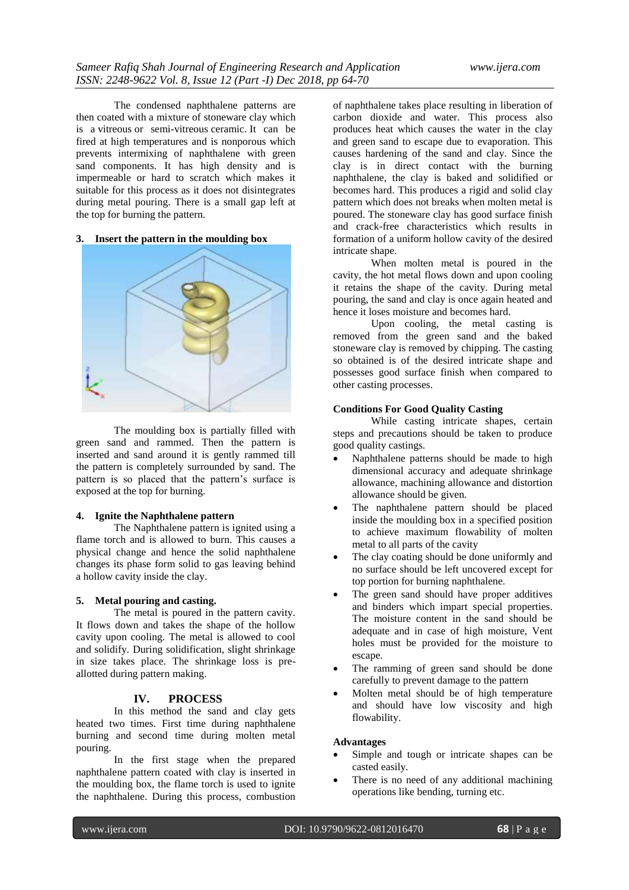The condensed naphthalene patterns are then coated with a mixture of stoneware clay which is a vitreous or semi-vitreous ceramic. It can be fired at high temperatures and is nonporous which prevents intermixing of naphthalene with green sand components. It has high density and is impermeable or hard to scratch which makes it suitable for this process as it does not disintegrates during metal pouring. There is a small gap left at the top for burning the pattern.

#### **3. Insert the pattern in the moulding box**



The moulding box is partially filled with green sand and rammed. Then the pattern is inserted and sand around it is gently rammed till the pattern is completely surrounded by sand. The pattern is so placed that the pattern's surface is exposed at the top for burning.

# **4. Ignite the Naphthalene pattern**

The Naphthalene pattern is ignited using a flame torch and is allowed to burn. This causes a physical change and hence the solid naphthalene changes its phase form solid to gas leaving behind a hollow cavity inside the clay.

#### **5. Metal pouring and casting.**

The metal is poured in the pattern cavity. It flows down and takes the shape of the hollow cavity upon cooling. The metal is allowed to cool and solidify. During solidification, slight shrinkage in size takes place. The shrinkage loss is preallotted during pattern making.

#### **IV. PROCESS**

In this method the sand and clay gets heated two times. First time during naphthalene burning and second time during molten metal pouring.

In the first stage when the prepared naphthalene pattern coated with clay is inserted in the moulding box, the flame torch is used to ignite the naphthalene. During this process, combustion

of naphthalene takes place resulting in liberation of carbon dioxide and water. This process also produces heat which causes the water in the clay and green sand to escape due to evaporation. This causes hardening of the sand and clay. Since the clay is in direct contact with the burning naphthalene, the clay is baked and solidified or becomes hard. This produces a rigid and solid clay pattern which does not breaks when molten metal is poured. The stoneware clay has good surface finish and crack-free characteristics which results in formation of a uniform hollow cavity of the desired intricate shape.

When molten metal is poured in the cavity, the hot metal flows down and upon cooling it retains the shape of the cavity. During metal pouring, the sand and clay is once again heated and hence it loses moisture and becomes hard.

Upon cooling, the metal casting is removed from the green sand and the baked stoneware clay is removed by chipping. The casting so obtained is of the desired intricate shape and possesses good surface finish when compared to other casting processes.

#### **Conditions For Good Quality Casting**

While casting intricate shapes, certain steps and precautions should be taken to produce good quality castings.

- Naphthalene patterns should be made to high dimensional accuracy and adequate shrinkage allowance, machining allowance and distortion allowance should be given.
- The naphthalene pattern should be placed inside the moulding box in a specified position to achieve maximum flowability of molten metal to all parts of the cavity
- The clay coating should be done uniformly and no surface should be left uncovered except for top portion for burning naphthalene.
- The green sand should have proper additives and binders which impart special properties. The moisture content in the sand should be adequate and in case of high moisture, Vent holes must be provided for the moisture to escape.
- The ramming of green sand should be done carefully to prevent damage to the pattern
- Molten metal should be of high temperature and should have low viscosity and high flowability.

#### **Advantages**

- Simple and tough or intricate shapes can be casted easily.
- There is no need of any additional machining operations like bending, turning etc.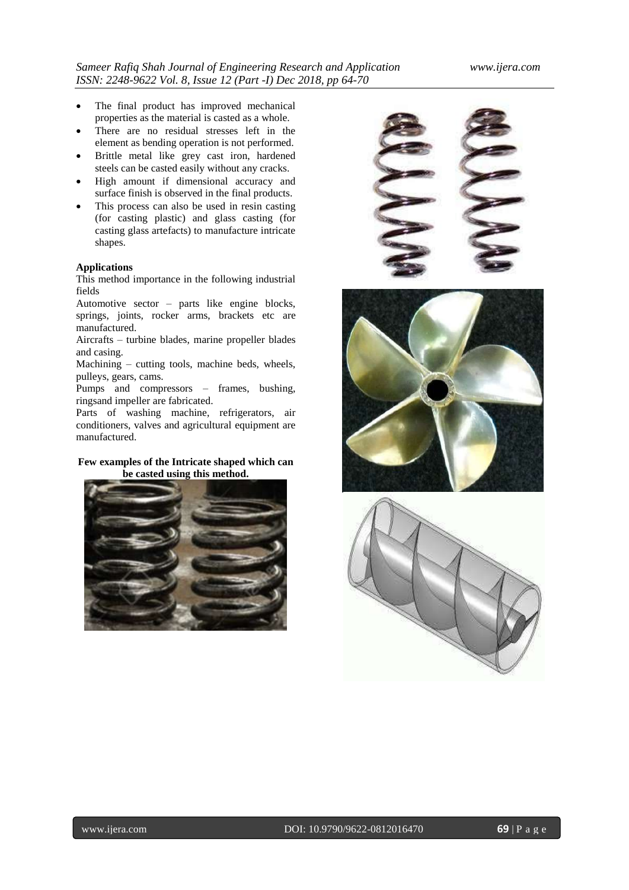- The final product has improved mechanical properties as the material is casted as a whole.
- There are no residual stresses left in the element as bending operation is not performed.
- Brittle metal like grey cast iron, hardened steels can be casted easily without any cracks.
- High amount if dimensional accuracy and surface finish is observed in the final products.
- This process can also be used in resin casting (for casting plastic) and glass casting (for casting glass artefacts) to manufacture intricate shapes.

#### **Applications**

This method importance in the following industrial fields

Automotive sector – parts like engine blocks, springs, joints, rocker arms, brackets etc are manufactured.

Aircrafts – turbine blades, marine propeller blades and casing.

Machining – cutting tools, machine beds, wheels, pulleys, gears, cams.

Pumps and compressors – frames, bushing, ringsand impeller are fabricated.

Parts of washing machine, refrigerators, air conditioners, valves and agricultural equipment are manufactured.

## **Few examples of the Intricate shaped which can be casted using this method.**